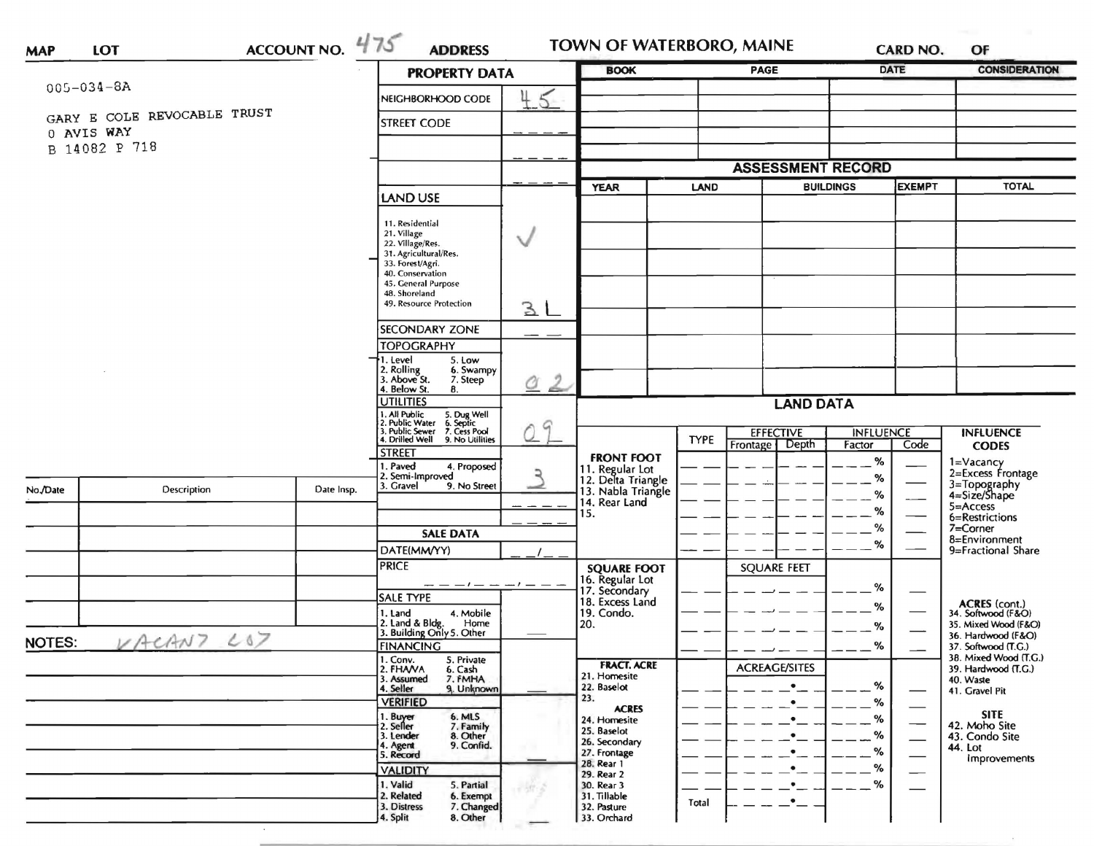| <b>MAP</b>       |                             | <b>PROPERTY DATA</b> |                                                                                                                                               | <b>PAGE</b><br><b>BOOK</b> |                                                                                                                                               |                                                                | <b>CARD NO.</b><br><b>DATE</b> |                  | <b>CONSIDERATION</b> |                                                             |
|------------------|-----------------------------|----------------------|-----------------------------------------------------------------------------------------------------------------------------------------------|----------------------------|-----------------------------------------------------------------------------------------------------------------------------------------------|----------------------------------------------------------------|--------------------------------|------------------|----------------------|-------------------------------------------------------------|
| $005 - 034 - 8A$ |                             | NEIGHBORHOOD CODE    | 4                                                                                                                                             |                            |                                                                                                                                               |                                                                |                                |                  |                      |                                                             |
|                  | GARY E COLE REVOCABLE TRUST |                      | <b>STREET CODE</b>                                                                                                                            |                            |                                                                                                                                               |                                                                |                                |                  |                      |                                                             |
| 0 AVIS WAY       | B 14082 P 718               |                      |                                                                                                                                               |                            |                                                                                                                                               |                                                                |                                |                  |                      |                                                             |
|                  |                             |                      |                                                                                                                                               |                            | <b>ASSESSMENT RECORD</b>                                                                                                                      |                                                                |                                |                  |                      |                                                             |
|                  |                             |                      |                                                                                                                                               | <b>YEAR</b><br><b>LAND</b> |                                                                                                                                               | <b>BUILDINGS</b>                                               |                                | <b>EXEMPT</b>    | <b>TOTAL</b>         |                                                             |
|                  |                             |                      | <b>LAND USE</b>                                                                                                                               |                            |                                                                                                                                               |                                                                |                                |                  |                      |                                                             |
|                  |                             |                      | 11. Residential<br>21. Village<br>22. Village/Res.<br>31. Agricultural/Res.<br>33. Forest/Agri.<br>40. Conservation<br>45. General Purpose    | V                          |                                                                                                                                               |                                                                |                                |                  |                      |                                                             |
|                  |                             |                      | 48. Shoreland<br>49. Resource Protection                                                                                                      | 3L                         |                                                                                                                                               |                                                                |                                |                  |                      |                                                             |
|                  |                             |                      | <b>SECONDARY ZONE</b>                                                                                                                         |                            |                                                                                                                                               |                                                                |                                |                  |                      |                                                             |
|                  |                             |                      | <b>TOPOGRAPHY</b><br>1. Level<br>5. Low                                                                                                       |                            |                                                                                                                                               |                                                                |                                |                  |                      |                                                             |
|                  |                             |                      | 2. Rolling<br>3. Above St.<br>6. Swampy<br>7. Steep<br>4. Below St.<br>8.                                                                     | $\mathcal{L}$<br><u>a</u>  |                                                                                                                                               |                                                                |                                |                  |                      |                                                             |
|                  |                             |                      | <b>UTILITIES</b>                                                                                                                              |                            | <b>LAND DATA</b>                                                                                                                              |                                                                |                                |                  |                      |                                                             |
|                  |                             |                      | 1. All Public 5. Dug Well<br>2. Public Water 6. Septic<br>3. Public Sewer 7. Cess Pool<br>4. Drilled Well<br>9. No Utilities<br><b>STREET</b> | 9                          |                                                                                                                                               | <b>EFFECTIVE</b><br><b>TYPE</b><br>Depth<br>Frontage<br>Factor |                                | <b>INFLUENCE</b> | Code                 | <b>INFLUENCE</b>                                            |
|                  |                             |                      |                                                                                                                                               |                            | <b>FRONT FOOT</b>                                                                                                                             |                                                                |                                | $\%$             |                      | <b>CODES</b><br>1=Vacancy                                   |
|                  |                             |                      | I. Paved<br>4. Proposed<br>2. Semi-Improved<br>3. Gravel<br>9. No Street                                                                      | ২                          | 11. Regular Lot<br>12. Delta Triangle<br>13. Nabla Triangle<br>14. Rear Land<br>15.<br><b>SQUARE FOOT</b><br>16. Regular Lot<br>17. Secondary |                                                                |                                | %                |                      | 2=Excess Frontage                                           |
| No./Date         | Description                 | Date Insp.           |                                                                                                                                               |                            |                                                                                                                                               |                                                                |                                | %                |                      | 3=Topography<br>4=Size/Shape<br>$5 =$ Access                |
|                  |                             |                      |                                                                                                                                               |                            |                                                                                                                                               |                                                                |                                | %<br>%           |                      | 6=Restrictions<br>7=Corner                                  |
|                  |                             |                      | <b>SALE DATA</b>                                                                                                                              | $-1$                       |                                                                                                                                               |                                                                | <b>SQUARE FEET</b>             | %                |                      | 8=Environment                                               |
|                  |                             |                      | DATE(MM/YY)<br><b>PRICE</b>                                                                                                                   |                            |                                                                                                                                               |                                                                |                                |                  |                      | 9=Fractional Share                                          |
|                  |                             |                      | $- -  - -$                                                                                                                                    |                            |                                                                                                                                               |                                                                |                                |                  |                      |                                                             |
|                  |                             |                      | <b>SALE TYPE</b>                                                                                                                              |                            | 18. Excess Land                                                                                                                               |                                                                |                                | %                |                      |                                                             |
|                  |                             |                      | 4. Mobile<br>1. Land<br>Home                                                                                                                  |                            | 19. Condo.<br>20.                                                                                                                             |                                                                |                                | ℅                |                      | ACRES (cont.)<br>34. Softwood (F&O)<br>35. Mixed Wood (F&O) |
|                  | VACANT LOT                  |                      | 2. Land & Bldg. Home<br>3. Building Only 5. Other                                                                                             |                            |                                                                                                                                               |                                                                |                                | %                |                      | 36. Hardwood (F&O)                                          |
| <b>NOTES:</b>    |                             |                      | <b>FINANCING</b><br>1. Conv.<br>5. Private                                                                                                    |                            |                                                                                                                                               |                                                                |                                | %                |                      | 37. Softwood (T.G.)<br>38. Mixed Wood (T.G.)                |
|                  |                             |                      | 2. FHAVA<br>6. Cash<br>3. Assumed<br>7. FMHA                                                                                                  |                            | <b>FRACT. ACRE</b><br>21. Homesite                                                                                                            |                                                                | <b>ACREAGE/SITES</b>           |                  |                      | 39. Hardwood (T.G.)<br>40. Waste                            |
|                  |                             |                      | 4. Seller<br>9. Unknown                                                                                                                       |                            | 22. Baselot<br>23.                                                                                                                            |                                                                | $\bullet$                      | %                |                      | 41. Gravel Pit                                              |
|                  |                             |                      | <b>VERIFIED</b><br>6. MLS<br>1. Buyer                                                                                                         |                            | <b>ACRES</b>                                                                                                                                  |                                                                | $\bullet$                      | %                |                      | <b>SITE</b>                                                 |
|                  |                             |                      | 2. Seller<br>7. Family<br>8. Other<br>3. Lender                                                                                               |                            | 24. Homesite<br>25. Baselot                                                                                                                   |                                                                |                                | %<br>%           |                      | 42. Moho Site<br>43. Condo Site                             |
|                  |                             |                      | 9. Confid.<br>4. Agent<br>5. Record                                                                                                           |                            | 26. Secondary<br>27. Frontage                                                                                                                 |                                                                |                                | %                |                      | 44. Lot                                                     |
|                  |                             |                      | <b>VALIDITY</b>                                                                                                                               |                            | 28. Rear 1                                                                                                                                    |                                                                |                                | %                |                      | <i><b>Improvements</b></i>                                  |
|                  |                             |                      | 1. Valid<br>5. Partial                                                                                                                        |                            | 29. Rear 2<br>30. Rear 3                                                                                                                      |                                                                |                                | %                |                      |                                                             |
|                  |                             |                      | 2. Related<br>6. Exempt<br>3. Distress<br>7. Changed                                                                                          |                            | 31. Tillable<br>32. Pasture                                                                                                                   | <b>Total</b>                                                   |                                |                  |                      |                                                             |
|                  |                             |                      | 4. Split<br>8. Other                                                                                                                          |                            | 33. Orchard                                                                                                                                   |                                                                |                                |                  |                      |                                                             |

 $\sim$